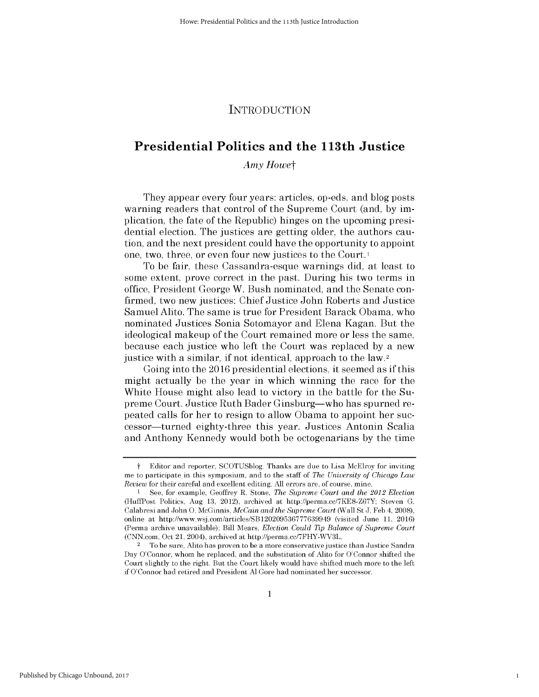## INTRODUCTION

# **Presidential Politics and the 113th Justice**

*Amy Howet*

They appear every four years: articles, op-eds, and blog posts warning readers that control of the Supreme Court (and, **by im**plication, the fate of the Republic) hinges on the upcoming presidential election. The justices are getting older, the authors caution, and the next president could have the opportunity to appoint one, two, three, or even four new justices to the Court.I

To be fair, these Cassandra-esque warnings **did,** at least to some extent, prove correct in the past. During his two terms in office, President George W. Bush nominated, and the Senate confirmed, two new justices: Chief Justice John Roberts and Justice Samuel Alito. The same is true for President Barack Obama, who nominated Justices Sonia Sotomayor and Elena Kagan. But the ideological makeup of the Court remained more or less the same, because each justice who left the Court was replaced **by** a new justice with a similar, **if** not identical, approach to the law.2

Going into the **2016** presidential elections, it seemed as **if** this might actually be the year in which winning the race for the White House might also lead to victory in the battle for the Supreme Court. Justice Ruth Bader Ginsburg-who has spurned repeated calls for her to resign to allow Obama to appoint her successor-turned eighty-three this year. Justices Antonin Scalia and Anthony Kennedy would both be octogenarians **by** the time

1

*t* Editor and reporter, **SCOTUSblog.** Thanks are due to Lisa McElroy for inviting me to participate in this symposium, and to the staff of *The University of Chicago Law Review* for their careful and excellent editing. **All** errors are, of course, mine.

**I See,** for example, Geoffrey R. Stone, *The Supreme Court and the 2012 Election* (HuffPost Politics, Aug **13,** 2012), archived at http://perma.cc/7KE8-Z67Y; Steven **G.** Calabresi and John **0.** McGinnis, *McCain and the Supreme Court* (Wall St **J, Feb** 4, **2008),** online at http://www.wsj.com/articles/SB120209536777639949 (visited June **11,** 2016) (Perma archive unavailable); Bill Mears, *Election Could Tip Balance of Supreme Court* (CNN.com, Oct 21, 2004), archived at http://perma.cc/7FHY-WV3L.

<sup>2</sup>To **be** sure, Alito has proven to **be** a more conservative justice than Justice Sandra Day O'Connor, whom he replaced, and the substitution of Alito for O'Connor shifted the Court slightly to the right. But the Court **likely** would have shifted much more to the **left** if O'Connor had retired and President **Al** Gore had nominated her successor.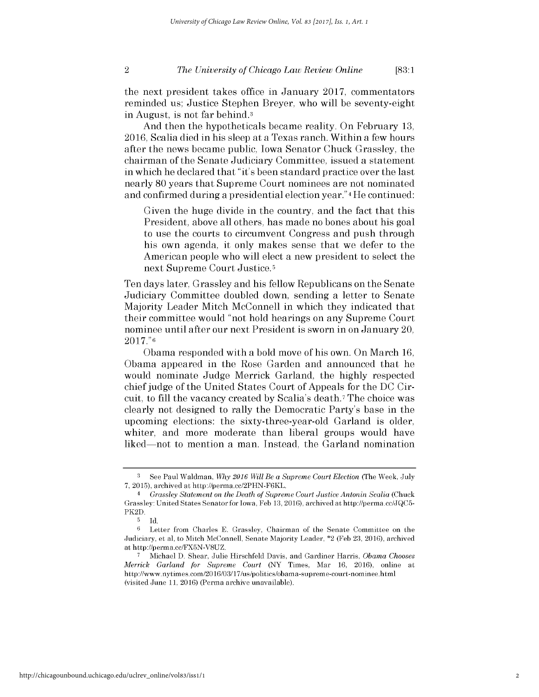#### *The University of Chicago Law Review Online* 2 **[83:1**

the next president takes office in January **2017,** commentators reminded us; Justice Stephen Breyer, who will be seventy-eight in August, is not far behind.3

And then the hypotheticals became reality. On February **13, 2016,** Scalia died in his sleep at a Texas ranch. Within a few hours after the news became public, Iowa Senator Chuck Grassley, the chairman of the Senate Judiciary Committee, issued a statement in which he declared that "it's been standard practice over the last nearly **80** years that Supreme Court nominees are not nominated and confirmed during a presidential election year."4 He continued:

Given the huge divide in the country, and the fact that this President, above all others, has made no bones about his goal to use the courts to circumvent Congress and push through his own agenda, it only makes sense that we defer to the American people who will elect a new president to select the next Supreme Court Justice.5

Ten days later, Grassley and his fellow Republicans on the Senate Judiciary Committee doubled down, sending a letter to Senate Majority Leader Mitch McConnell in which they indicated that their committee would "not hold hearings on any Supreme Court nominee until after our next President is sworn in on January 20, **2017."6**

Obama responded with a bold move of his own. On March **16,** Obama appeared in the Rose Garden and announced that he would nominate Judge Merrick Garland, the **highly** respected chief judge of the United States Court of Appeals for the **DC** Circuit, to **fill** the vacancy created **by** Scalia's death.7 The choice was clearly not designed to rally the Democratic Party's base in the upcoming elections: the sixty-three-year-old Garland is older, whiter, and more moderate than liberal groups would have liked-not to mention a man. Instead, the Garland nomination

**<sup>3</sup>**See Paul Waldman, *Why 2016 Will Be a Supreme Court Election* (The Week, July **7, 2015),** archived at http://perma.cc/2PHN-F6KL.

<sup>4</sup>*Grassley Statement on the Death of Supreme Court Justice Antonin Scalia* (Chuck Grassley: United States Senatorfor Iowa, **Feb 13,** 2016), archived at http://perma.cc/JQC5- PK2D.

**<sup>5</sup> Id.**

**<sup>6</sup>**Letter from Charles **E.** Grassley, Chairman of the Senate Committee on the Judiciary, et al, to Mitch McConnell, Senate Majority Leader, \*2 **(Feb 23,** 2016), archived at http://perma.cc/FX5N-V8UZ.

**<sup>7</sup>** Michael **D.** Shear, Julie Hirschfeld Davis, and Gardiner Harris, *Obama Chooses Merrick Garland for Supreme Court* (NY Times, Mar 16, 2016), online at http://www.nytimes.com/2016/03/17/us/politics/obama-supreme-court-nominee.html (visited June **11,** 2016) (Perma archive unavailable).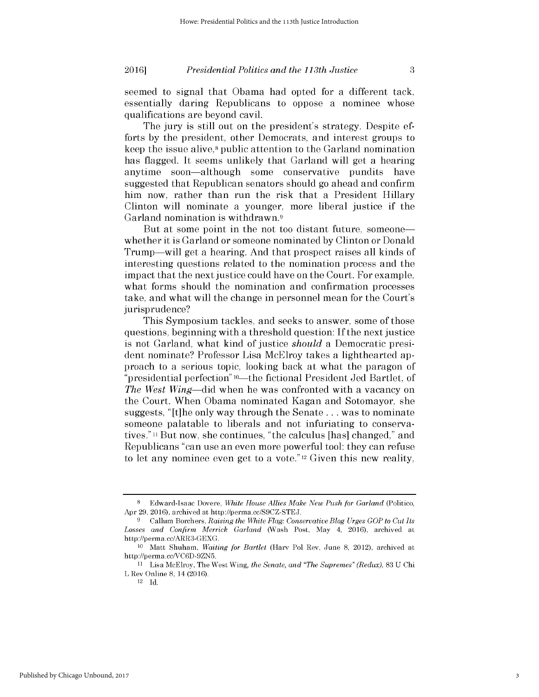seemed to signal that Obama had opted for a different tack, essentially daring Republicans to oppose a nominee whose qualifications are beyond cavil.

The jury is still out on the president's strategy. Despite efforts **by** the president, other Democrats, and interest groups to keep the issue alive,<sup>8</sup> public attention to the Garland nomination has flagged. It seems unlikely that Garland will get a hearing anytime soon-although some conservative pundits have suggested that Republican senators should go ahead and confirm him now, rather than run the risk that a President Hillary Clinton will nominate a younger, more liberal justice **if** the Garland nomination is withdrawn.<sup>9</sup>

But at some point in the not too distant future, someone whether it is Garland or someone nominated **by** Clinton or Donald Trump—will get a hearing. And that prospect raises all kinds of interesting questions related to the nomination process and the impact that the next justice could have on the Court. For example, what forms should the nomination and confirmation processes take, and what will the change in personnel mean for the Court's jurisprudence?

This Symposium tackles, and seeks to answer, some of those questions, beginning with a threshold question: **If** the next justice is not Garland, what kind of justice *should* a Democratic president nominate? Professor Lisa McElroy takes a lighthearted approach to a serious topic, looking back at what the paragon of "presidential perfection" <sup>10</sup>—the fictional President Jed Bartlet, of *The West Wing-did* when he was confronted with a vacancy on the Court. When Obama nominated Kagan and Sotomayor, she suggests, "[t]he only way through the Senate **...** was to nominate someone palatable to liberals and not infuriating to conservatives."11 But now, she continues, "the calculus [has] changed," and Republicans "can use an even more powerful tool: they can refuse to let any nominee even get to a vote." 12 Given this new reality,

**<sup>8</sup>**Edward-Isaac Dovere, *White House Allies Make New Push for Garland* (Politico, Apr **29,** 2016), archived at http://perma.cc/S9CZ-STEJ.

**<sup>9</sup>**Callum Borchers, *Raising the White Flag: Conservative Blog Urges GOP to Cut Its Losses and Confirm Merrick Garland* (Wash Post, May 4, 2016), archived at http://perma.cc/ARR3-GEXG.

**<sup>10</sup>**Matt Shuham, *Waiting for Bartlet* (Harv Pol Rev, June **8,** 2012), archived at http://perma.cc/VC6D-9ZN5.

**<sup>11</sup>**Lisa McElroy, The West Wing, *the Senate, and "The Supremes" (Redux),* **83 U** Chi L Rev Online **8,** 14 (2016).

<sup>12</sup>**Id.**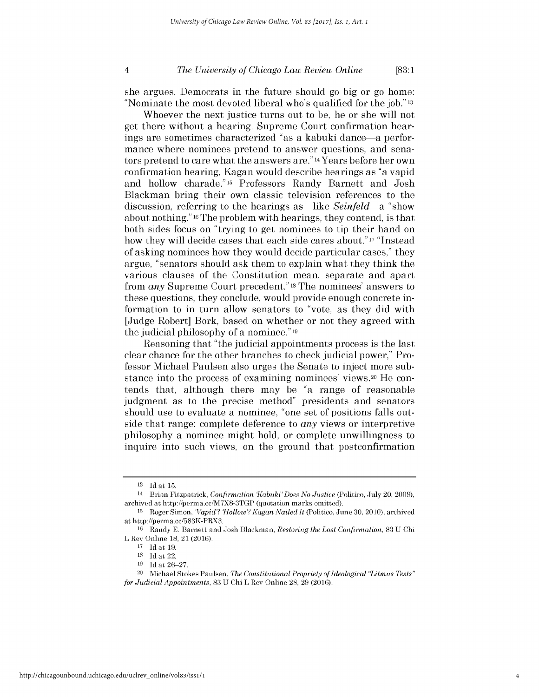#### *The University of Chicago Law Review Online* 4 **[83:1**

she argues, Democrats in the future should go **big** or go home: "Nominate the most devoted liberal who's qualified for the job." **<sup>13</sup>**

Whoever the next justice turns out to be, he or she will not get there without a hearing. Supreme Court confirmation hearings are sometimes characterized "as a kabuki dance-a performance where nominees pretend to answer questions, and senators pretend to care what the answers are." 14 Years before her own confirmation hearing, Kagan would describe hearings as "a vapid and hollow charade."15 Professors Randy Barnett and Josh Blackman bring their own classic television references to the discussion, referring to the hearings as—like *Seinfeld*—a "show about nothing." <sup>16</sup> The problem with hearings, they contend, is that both sides focus on "trying to get nominees to tip their hand on how they will decide cases that each side cares about." **17** "Instead of asking nominees how they would decide particular cases," they argue, "senators should ask them to explain what they think the various clauses of the Constitution mean, separate and apart from *any* Supreme Court precedent." 18The nominees' answers to these questions, they conclude, would provide enough concrete information to in turn allow senators to "vote, as they **did** with [Judge Robert] Bork, based on whether or not they agreed with the judicial philosophy of a nominee." **<sup>19</sup>**

Reasoning that "the judicial appointments process is the last clear chance for the other branches to check judicial power," Professor Michael Paulsen also urges the Senate to inject more substance into the process of examining nominees' views.20 He contends that, although there may be "a range of reasonable judgment as to the precise method" presidents and senators should use to evaluate a nominee, "one set of positions falls outside that range: complete deference to *any* views or interpretive philosophy a nominee might hold, or complete unwillingness to inquire into such views, on the ground that postconfirmation

**<sup>13</sup> Id** at **15.**

<sup>14</sup> Brian Fitzpatrick, *Confirmation Kabuki'Does No Justice* (Politico, July 20, **2009),** archived at http://perma.cc/M7X8-3TGP (quotation marks omitted).

**<sup>15</sup>**Roger Simon, *'Vapid'? 'Hollow'? Kagan NailedIt* (Politico, June **30,** 2010), archived at http://perma.cc/583K-PRX3.

**<sup>16</sup>**Randy **E.** Barnett and Josh Blackman, *Restoring the Lost Confirmation,* **83 U** Chi L Rev Online **18,** 21 **(2016).**

**<sup>17</sup>Id** at **19.**

**<sup>18</sup>Id** at 22.

**<sup>19</sup> Id** at **26-27.**

<sup>&</sup>lt;sup>20</sup> Michael Stokes Paulsen, *The Constitutional Propriety of Ideological "Litmus Tests" for Judicial Appointments,* **83 U** Chi L Rev Online **28, 29** (2016).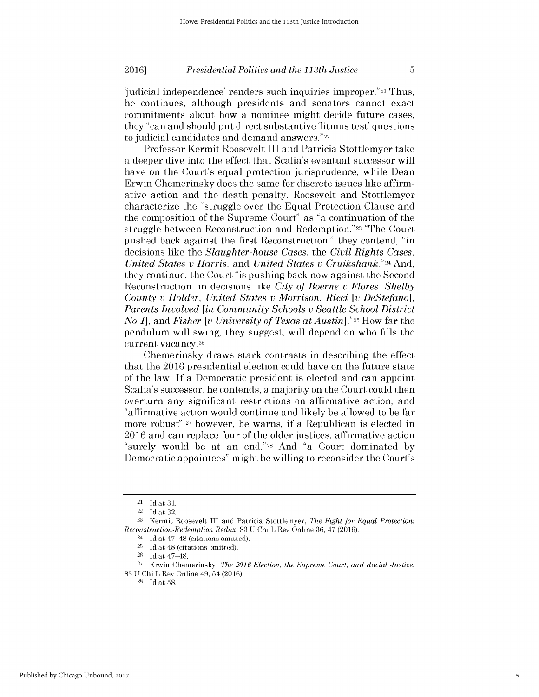### **2016** *Presidential Politics and the 113th Justice* **5**

'judicial independence' renders such inquiries improper." 21 Thus, he continues, although presidents and senators cannot exact commitments about how a nominee might decide future cases, they "can and should put direct substantive 'litmus test' questions to judicial candidates and demand answers."22

Professor Kermit Roosevelt **III** and Patricia Stottlemyer take a deeper dive into the effect that Scalia's eventual successor will have on the Court's equal protection jurisprudence, while Dean Erwin Chemerinsky does the same for discrete issues like affirmative action and the death penalty. Roosevelt and Stottlemyer characterize the "struggle over the Equal Protection Clause and the composition of the Supreme Court" as "a continuation of the struggle between Reconstruction and Redemption."23 "The Court pushed back against the first Reconstruction," they contend, "in decisions like the *Slaughter-house Cases, the Civil Rights Cases, United States v Harris, and United States v Cruikshank."24 And,* they continue, the Court "is pushing back now against the Second Reconstruction, in decisions like *City of Boerne v Flores, Shelby County v Holder, United States v Morrison, Ricci [v DeStefano], Parents Involved [in Community Schools v Seattle School District No 1], and Fisher [v University of Texas at* Austin]." 25 How far the pendulum will swing, they suggest, will depend on who fills the current vacancy. <sup>26</sup>

Chemerinsky draws stark contrasts in describing the effect that the **2016** presidential election could have on the future state of the law. **If** a Democratic president is elected and can appoint Scalia's successor, he contends, a majority on the Court could then overturn any significant restrictions on affirmative action, and "affirmative action would continue and likely be allowed to be far more robust";27 however, he warns, **if** a Republican is elected in **2016** and can replace four of the older justices, affirmative action "surely would be at an end."28 And "a Court dominated **by** Democratic appointees" might be willing to reconsider the Court's

 $21$  Id at  $31$ .

<sup>22</sup>**Id** *at* **32.**

**<sup>23</sup>**Kermit Roosevelt **III** and Patricia Stottlemyer, *The Fight for Equal Protection: Reconstruction-Redemption Redux,* **83 U** Chi L Rev Online **36,** 47 (2016).

<sup>24</sup>**Id** at 47-48 (citations omitted).

**<sup>25</sup>Id** at 48 (citations omitted).

**<sup>26</sup>Id** at 47-48.

**<sup>27</sup>**Erwin Chemerinsky, *The 2016 Election, the Supreme Court, and Racial Justice,* **83 U** Chi L Rev Online 49, 54 **(2016).**

**<sup>28</sup>Id** at **58.**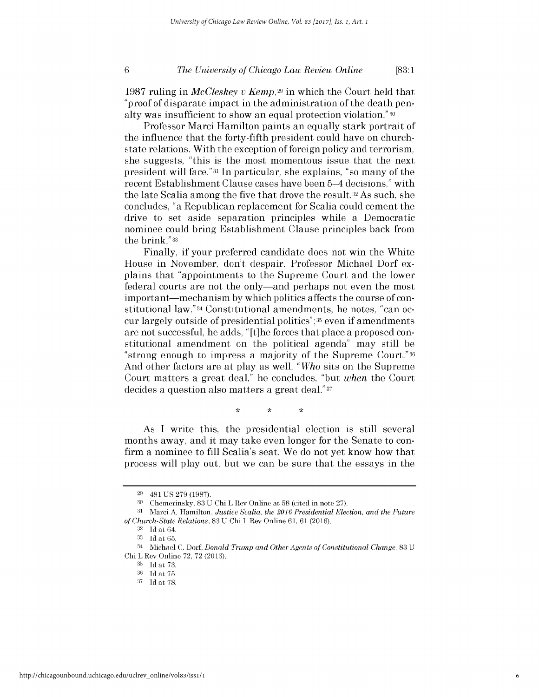#### *The University of Chicago Law Review Online* **6 [83:1**

**1987** ruling in *MeCleskey v Kemp,29* in which the Court held that "proof of disparate impact in the administration of the death penalty was insufficient to show an equal protection violation." **<sup>30</sup>**

Professor Marci Hamilton paints an equally stark portrait of the influence that the forty-fifth president could have on churchstate relations. With the exception of foreign policy and terrorism, she suggests, "this is the most momentous issue that the next president will face."31 In particular, she explains, "so many of the recent Establishment Clause cases have been 5-4 decisions," with the late Scalia among the five that drove the result.32 As such, she concludes, "a Republican replacement for Scalia could cement the drive to set aside separation principles while a Democratic nominee could bring Establishment Clause principles back from the brink."33

Finally, **if** your preferred candidate does not win the White House in November, don't despair. Professor Michael Dorf explains that "appointments to the Supreme Court and the lower federal courts are not the only—and perhaps not even the most important—mechanism by which politics affects the course of constitutional law."34 Constitutional amendments, he notes, "can occur largely outside of presidential politics";35 even **if** amendments are not successful, he adds, "[t]he forces that place a proposed constitutional amendment on the political agenda" may still be "strong enough to impress a majority of the Supreme Court."36 And other factors are at play as well. *"Who* sits on the Supreme Court matters a great deal," he concludes, "but *when* the Court decides a question also matters a great deal."37

> ÷ ÷

As **I** write this, the presidential election is still several months away, and it may take even longer for the Senate to confirm a nominee to fill Scalia's seat. We do not yet know how that process will play out, but we can be sure that the essays in the

**<sup>29</sup>**481 **US 279 (1987).**

**<sup>30</sup>**Chemerinsky, **83 U** Chi L Rev Online at **58** (cited in note **27).**

**<sup>31</sup>**Marci **A.** Hamilton, *Justice Scalia, the 2016 Presidential Election, and the Future of Church-State Relations,* **83 U** Chi L Rev Online **61, 61 (2016).**

**<sup>32</sup> Id** at 64.

**<sup>33</sup> Id** at **65.**

<sup>34</sup> Michael **C.** Dorf, *Donald Trump and Other Agents of Constitutional Change,* **83 U** Chi L Rev Online **72, 72** (2016).

**<sup>35</sup> Id** at **73.**

**<sup>36</sup> Id** at **75.**

**<sup>37</sup> Id** at **78.**